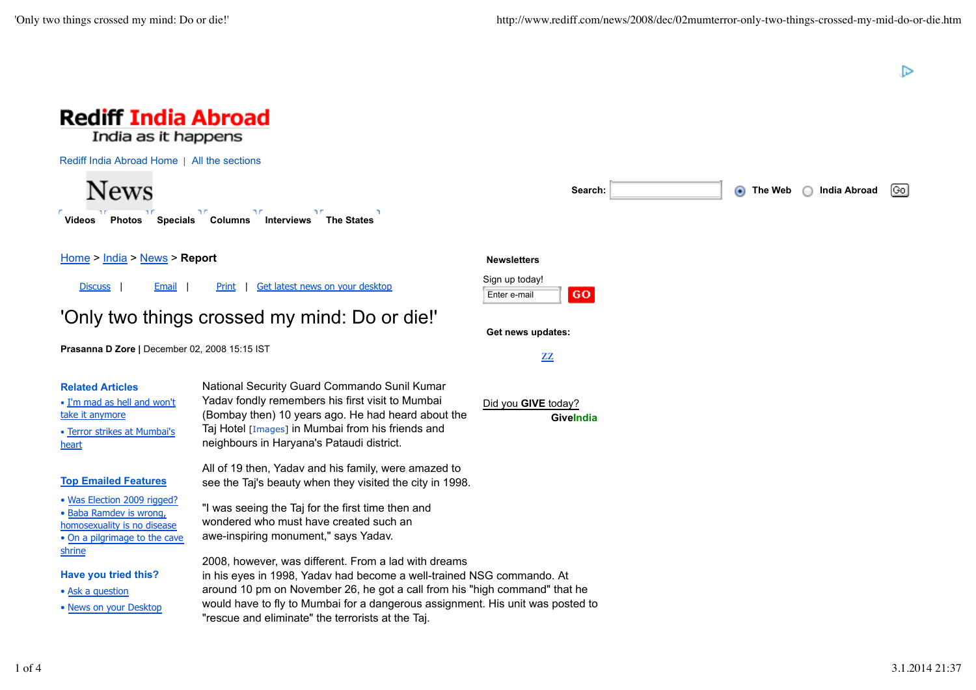